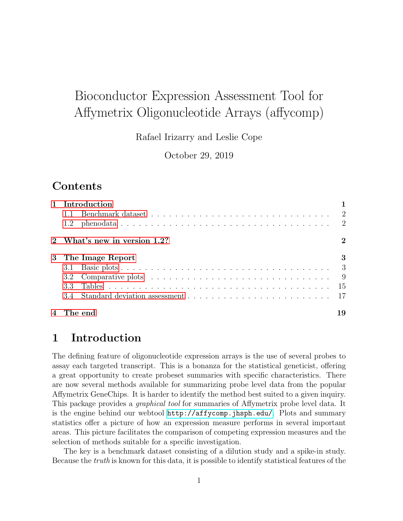# Bioconductor Expression Assessment Tool for Affymetrix Oligonucleotide Arrays (affycomp)

Rafael Irizarry and Leslie Cope

October 29, 2019

# Contents

| 1 Introduction               |             |  |  |  |
|------------------------------|-------------|--|--|--|
|                              |             |  |  |  |
|                              |             |  |  |  |
| 2 What's new in version 1.2? | $\mathbf 2$ |  |  |  |
| 3 The Image Report           | 3           |  |  |  |
|                              |             |  |  |  |
|                              |             |  |  |  |
|                              |             |  |  |  |
|                              |             |  |  |  |
| 4 The end                    | 19          |  |  |  |

# <span id="page-0-0"></span>1 Introduction

The defining feature of oligonucleotide expression arrays is the use of several probes to assay each targeted transcript. This is a bonanza for the statistical geneticist, offering a great opportunity to create probeset summaries with specific characteristics. There are now several methods available for summarizing probe level data from the popular Affymetrix GeneChips. It is harder to identify the method best suited to a given inquiry. This package provides a graphical tool for summaries of Affymetrix probe level data. It is the engine behind our webtool <http://affycomp.jhsph.edu/>. Plots and summary statistics offer a picture of how an expression measure performs in several important areas. This picture facilitates the comparison of competing expression measures and the selection of methods suitable for a specific investigation.

The key is a benchmark dataset consisting of a dilution study and a spike-in study. Because the truth is known for this data, it is possible to identify statistical features of the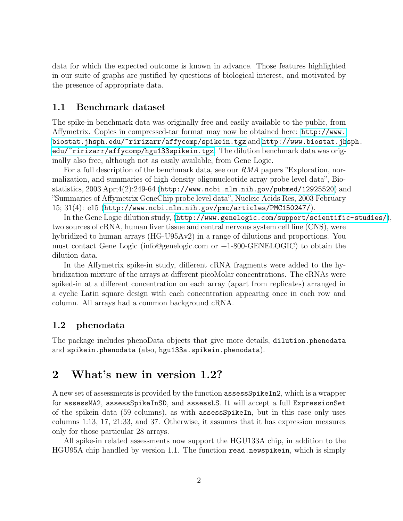data for which the expected outcome is known in advance. Those features highlighted in our suite of graphs are justified by questions of biological interest, and motivated by the presence of appropriate data.

#### <span id="page-1-0"></span>1.1 Benchmark dataset

The spike-in benchmark data was originally free and easily available to the public, from Affymetrix. Copies in compressed-tar format may now be obtained here: [http://www.](http://www.biostat.jhsph.edu/~ririzarr/affycomp/spikein.tgz) [biostat.jhsph.edu/~ririzarr/affycomp/spikein.tgz](http://www.biostat.jhsph.edu/~ririzarr/affycomp/spikein.tgz) and [http://www.biostat.jh](http://www.biostat.jhsph.edu/~ririzarr/affycomp/hgu133spikein.tgz)sph. [edu/~ririzarr/affycomp/hgu133spikein.tgz](http://www.biostat.jhsph.edu/~ririzarr/affycomp/hgu133spikein.tgz). The dilution benchmark data was originally also free, although not as easily available, from Gene Logic.

For a full description of the benchmark data, see our RMA papers "Exploration, normalization, and summaries of high density oligonucleotide array probe level data", Biostatistics, 2003 Apr;4(2):249-64 (<http://www.ncbi.nlm.nih.gov/pubmed/12925520>) and "Summaries of Affymetrix GeneChip probe level data", Nucleic Acids Res, 2003 February 15; 31(4): e15 (<http://www.ncbi.nlm.nih.gov/pmc/articles/PMC150247/>).

In the Gene Logic dilution study, (<http://www.genelogic.com/support/scientific-studies/>), two sources of cRNA, human liver tissue and central nervous system cell line (CNS), were hybridized to human arrays (HG-U95Av2) in a range of dilutions and proportions. You must contact Gene Logic (info@genelogic.com or +1-800-GENELOGIC) to obtain the dilution data.

In the Affymetrix spike-in study, different cRNA fragments were added to the hybridization mixture of the arrays at different picoMolar concentrations. The cRNAs were spiked-in at a different concentration on each array (apart from replicates) arranged in a cyclic Latin square design with each concentration appearing once in each row and column. All arrays had a common background cRNA.

#### <span id="page-1-1"></span>1.2 phenodata

The package includes phenoData objects that give more details, dilution.phenodata and spikein.phenodata (also, hgu133a.spikein.phenodata).

### <span id="page-1-2"></span>2 What's new in version 1.2?

A new set of assessments is provided by the function assessSpikeIn2, which is a wrapper for assessMA2, assessSpikeInSD, and assessLS. It will accept a full ExpressionSet of the spikein data (59 columns), as with assessSpikeIn, but in this case only uses columns 1:13, 17, 21:33, and 37. Otherwise, it assumes that it has expression measures only for those particular 28 arrays.

All spike-in related assessments now support the HGU133A chip, in addition to the HGU95A chip handled by version 1.1. The function read.newspikein, which is simply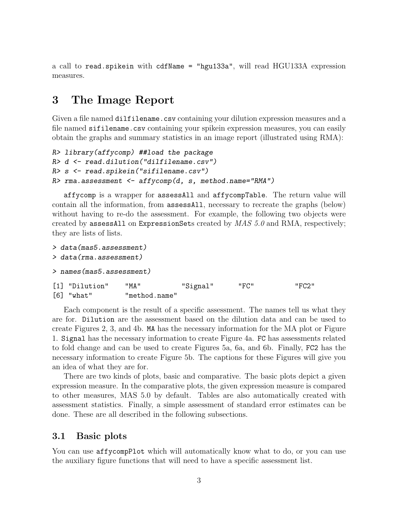a call to read.spikein with cdfName = "hgu133a", will read HGU133A expression measures.

### <span id="page-2-0"></span>3 The Image Report

Given a file named dilfilename.csv containing your dilution expression measures and a file named sifilename.csv containing your spikein expression measures, you can easily obtain the graphs and summary statistics in an image report (illustrated using RMA):

```
R> library(affycomp) ##load the package
R> d <- read.dilution("dilfilename.csv")
R> s <- read.spikein("sifilename.csv")
R> rma.assessment <- affycomp(d, s, method.name="RMA")
```
affycomp is a wrapper for assessAll and affycompTable. The return value will contain all the information, from assessAll, necessary to recreate the graphs (below) without having to re-do the assessment. For example, the following two objects were created by assessAll on ExpressionSets created by  $MAS$  5.0 and RMA, respectively; they are lists of lists.

```
> data(mas5.assessment)
> data(rma.assessment)
> names(mas5.assessment)
[1] "Dilution" "MA" "Signal" "FC" "FC2"
[6] "what" "method.name"
```
Each component is the result of a specific assessment. The names tell us what they are for. Dilution are the assessment based on the dilution data and can be used to create Figures 2, 3, and 4b. MA has the necessary information for the MA plot or Figure 1. Signal has the necessary information to create Figure 4a. FC has assessments related to fold change and can be used to create Figures 5a, 6a, and 6b. Finally, FC2 has the necessary information to create Figure 5b. The captions for these Figures will give you an idea of what they are for.

There are two kinds of plots, basic and comparative. The basic plots depict a given expression measure. In the comparative plots, the given expression measure is compared to other measures, MAS 5.0 by default. Tables are also automatically created with assessment statistics. Finally, a simple assessment of standard error estimates can be done. These are all described in the following subsections.

#### <span id="page-2-1"></span>3.1 Basic plots

You can use affycompPlot which will automatically know what to do, or you can use the auxiliary figure functions that will need to have a specific assessment list.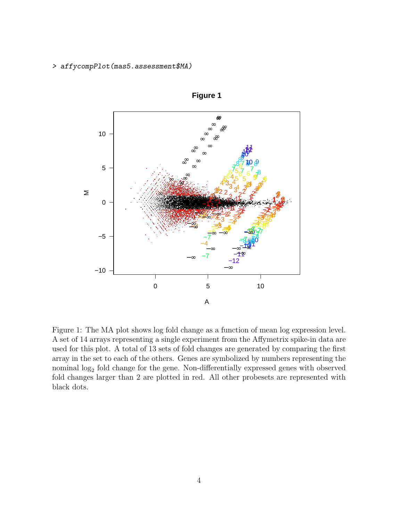> affycompPlot(mas5.assessment\$MA)



**Figure 1**

Figure 1: The MA plot shows log fold change as a function of mean log expression level. A set of 14 arrays representing a single experiment from the Affymetrix spike-in data are used for this plot. A total of 13 sets of fold changes are generated by comparing the first array in the set to each of the others. Genes are symbolized by numbers representing the nominal  $log_2$  fold change for the gene. Non-differentially expressed genes with observed fold changes larger than 2 are plotted in red. All other probesets are represented with black dots.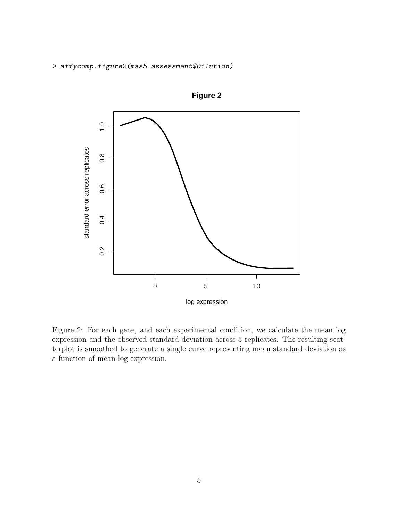> affycomp.figure2(mas5.assessment\$Dilution)



**Figure 2**

Figure 2: For each gene, and each experimental condition, we calculate the mean log expression and the observed standard deviation across 5 replicates. The resulting scatterplot is smoothed to generate a single curve representing mean standard deviation as a function of mean log expression.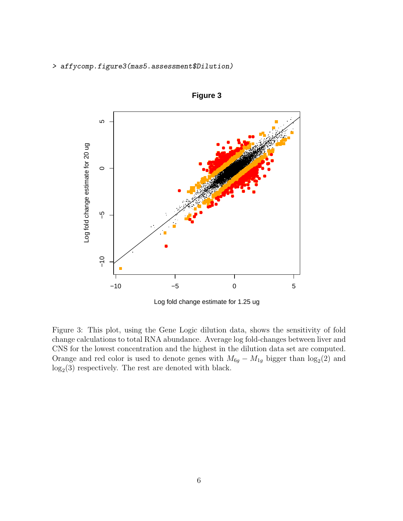> affycomp.figure3(mas5.assessment\$Dilution)



**Figure 3**

Log fold change estimate for 1.25 ug

Figure 3: This plot, using the Gene Logic dilution data, shows the sensitivity of fold change calculations to total RNA abundance. Average log fold-changes between liver and CNS for the lowest concentration and the highest in the dilution data set are computed. Orange and red color is used to denote genes with  $M_{6g} - M_{1g}$  bigger than  $\log_2(2)$  and  $log<sub>2</sub>(3)$  respectively. The rest are denoted with black.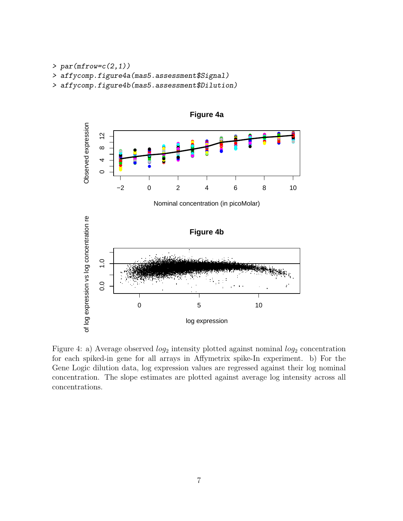- $> par(mfrow=c(2,1))$
- > affycomp.figure4a(mas5.assessment\$Signal)
- > affycomp.figure4b(mas5.assessment\$Dilution)



Figure 4: a) Average observed  $log_2$  intensity plotted against nominal  $log_2$  concentration for each spiked-in gene for all arrays in Affymetrix spike-In experiment. b) For the Gene Logic dilution data, log expression values are regressed against their log nominal concentration. The slope estimates are plotted against average log intensity across all concentrations.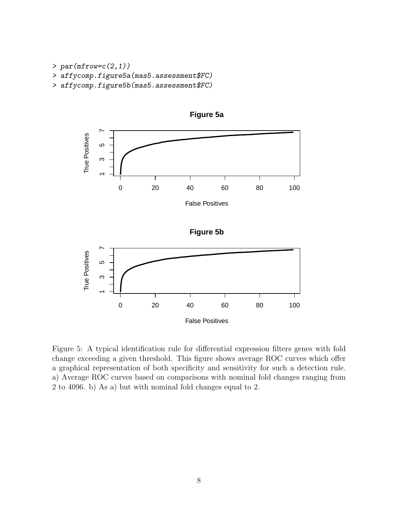- $> par(mfrow=c(2,1))$
- > affycomp.figure5a(mas5.assessment\$FC)
- > affycomp.figure5b(mas5.assessment\$FC)



**Figure 5a**

Figure 5: A typical identification rule for differential expression filters genes with fold change exceeding a given threshold. This figure shows average ROC curves which offer a graphical representation of both specificity and sensitivity for such a detection rule. a) Average ROC curves based on comparisons with nominal fold changes ranging from 2 to 4096. b) As a) but with nominal fold changes equal to 2.

False Positives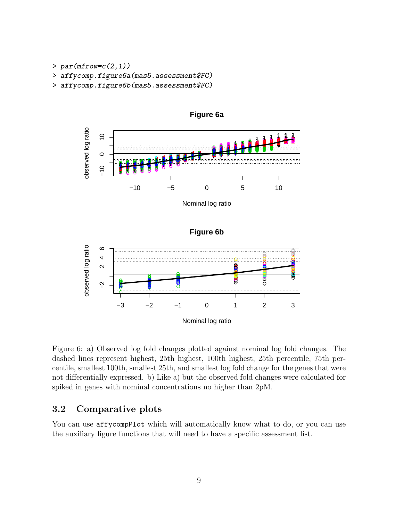- $> par(mfrow=c(2,1))$
- > affycomp.figure6a(mas5.assessment\$FC)
- > affycomp.figure6b(mas5.assessment\$FC)



Figure 6: a) Observed log fold changes plotted against nominal log fold changes. The dashed lines represent highest, 25th highest, 100th highest, 25th percentile, 75th percentile, smallest 100th, smallest 25th, and smallest log fold change for the genes that were not differentially expressed. b) Like a) but the observed fold changes were calculated for spiked in genes with nominal concentrations no higher than 2pM.

−3 −2 −1 0 1 2 3

Nominal log ratio

### <span id="page-8-0"></span>3.2 Comparative plots

You can use affycompPlot which will automatically know what to do, or you can use the auxiliary figure functions that will need to have a specific assessment list.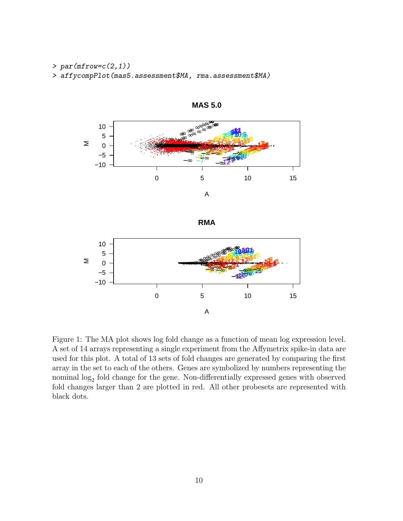- $> par(mfrow=c(2,1))$
- > affycompPlot(mas5.assessment\$MA, rma.assessment\$MA)









Figure 1: The MA plot shows log fold change as a function of mean log expression level. A set of 14 arrays representing a single experiment from the Affymetrix spike-in data are used for this plot. A total of 13 sets of fold changes are generated by comparing the first array in the set to each of the others. Genes are symbolized by numbers representing the nominal  $log_2$  fold change for the gene. Non-differentially expressed genes with observed fold changes larger than 2 are plotted in red. All other probesets are represented with black dots.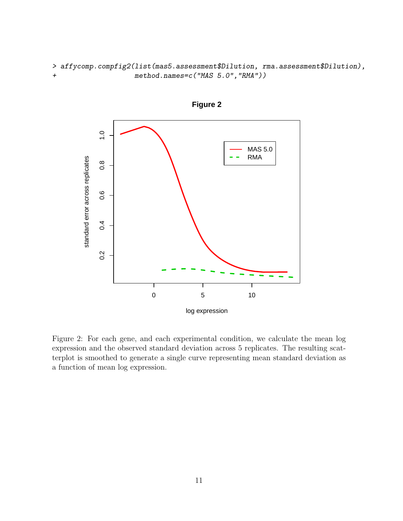> affycomp.compfig2(list(mas5.assessment\$Dilution, rma.assessment\$Dilution), + method.names=c("MAS 5.0","RMA"))





Figure 2: For each gene, and each experimental condition, we calculate the mean log expression and the observed standard deviation across 5 replicates. The resulting scatterplot is smoothed to generate a single curve representing mean standard deviation as a function of mean log expression.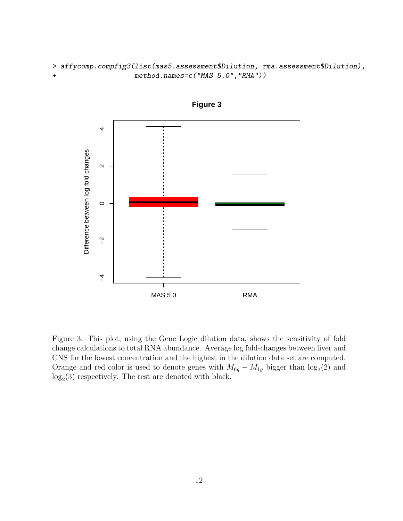> affycomp.compfig3(list(mas5.assessment\$Dilution, rma.assessment\$Dilution), + method.names=c("MAS 5.0","RMA"))



**Figure 3**

Figure 3: This plot, using the Gene Logic dilution data, shows the sensitivity of fold change calculations to total RNA abundance. Average log fold-changes between liver and CNS for the lowest concentration and the highest in the dilution data set are computed. Orange and red color is used to denote genes with  $M_{6g} - M_{1g}$  bigger than  $\log_2(2)$  and  $log<sub>2</sub>(3)$  respectively. The rest are denoted with black.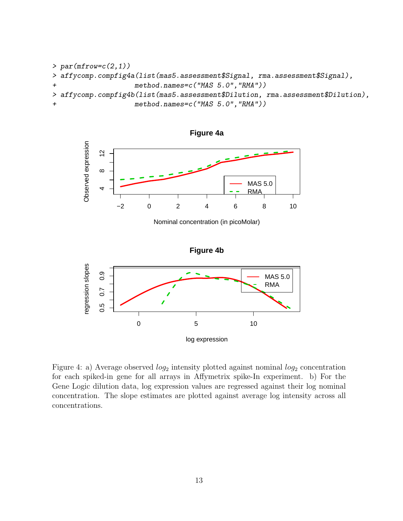



Nominal concentration (in picoMolar)



Figure 4: a) Average observed  $log_2$  intensity plotted against nominal  $log_2$  concentration for each spiked-in gene for all arrays in Affymetrix spike-In experiment. b) For the Gene Logic dilution data, log expression values are regressed against their log nominal concentration. The slope estimates are plotted against average log intensity across all concentrations.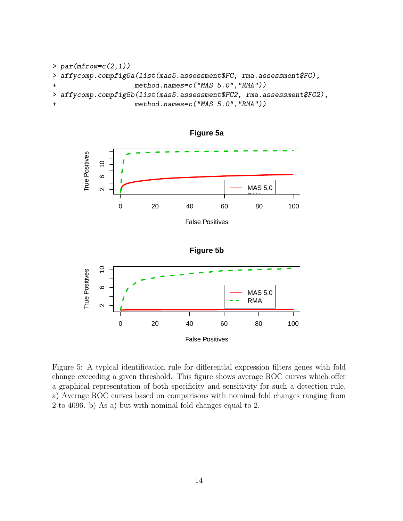```
> par(mfrow=c(2,1))> affycomp.compfig5a(list(mas5.assessment$FC, rma.assessment$FC),
+ method.names=c("MAS 5.0","RMA"))
> affycomp.compfig5b(list(mas5.assessment$FC2, rma.assessment$FC2),
                  method.names=c("MAS 5.0","RMA"))
```


**Figure 5a**



Figure 5: A typical identification rule for differential expression filters genes with fold change exceeding a given threshold. This figure shows average ROC curves which offer a graphical representation of both specificity and sensitivity for such a detection rule. a) Average ROC curves based on comparisons with nominal fold changes ranging from 2 to 4096. b) As a) but with nominal fold changes equal to 2.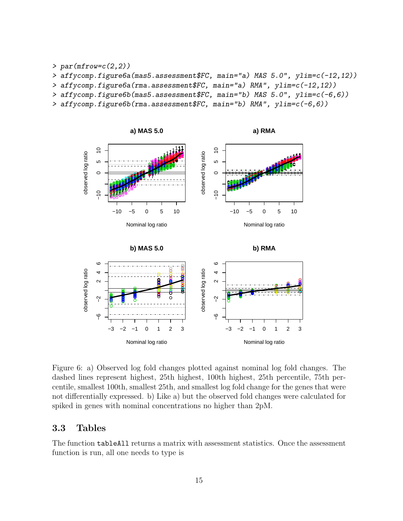$> par(mfrow=c(2,2))$ 

> affycomp.figure6a(mas5.assessment\$FC, main="a) MAS 5.0", ylim=c(-12,12))

> affycomp.figure6a(rma.assessment\$FC, main="a) RMA", ylim=c(-12,12))

- > affycomp.figure6b(mas5.assessment\$FC, main="b) MAS 5.0", ylim=c(-6,6))
- > affycomp.figure6b(rma.assessment\$FC, main="b) RMA", ylim=c(-6,6))



Figure 6: a) Observed log fold changes plotted against nominal log fold changes. The dashed lines represent highest, 25th highest, 100th highest, 25th percentile, 75th percentile, smallest 100th, smallest 25th, and smallest log fold change for the genes that were not differentially expressed. b) Like a) but the observed fold changes were calculated for spiked in genes with nominal concentrations no higher than 2pM.

Nominal log ratio

Nominal log ratio

#### <span id="page-14-0"></span>3.3 Tables

The function tableAll returns a matrix with assessment statistics. Once the assessment function is run, all one needs to type is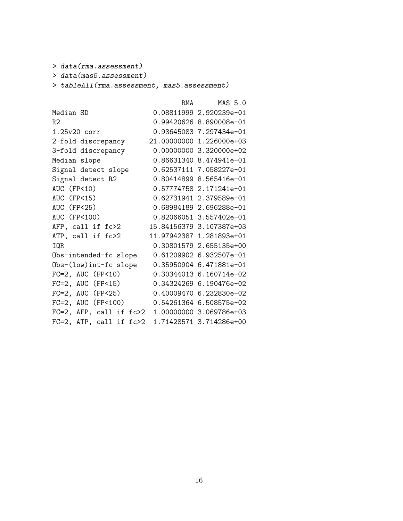> data(rma.assessment)

> data(mas5.assessment)

> tableAll(rma.assessment, mas5.assessment)

|                                 | RMA MAS 5.0                                     |
|---------------------------------|-------------------------------------------------|
|                                 | 0.08811999 2.920239e-01                         |
|                                 | 0.99420626 8.890008e-01                         |
|                                 | 0.93645083 7.297434e-01                         |
|                                 | 21.00000000 1.226000e+03                        |
|                                 | 0.00000000 3.320000e+02                         |
|                                 | 0.86631340 8.474941e-01                         |
|                                 | 0.62537111 7.058227e-01                         |
|                                 | 0.80414899 8.565416e-01                         |
|                                 | 0.57774758 2.171241e-01                         |
|                                 | 0.62731941 2.379589e-01                         |
|                                 | 0.68984189 2.696288e-01                         |
|                                 | 0.82066051 3.557402e-01                         |
|                                 | 15.84156379 3.107387e+03                        |
|                                 | 11.97942387 1.281893e+01                        |
|                                 | 0.30801579 2.655135e+00                         |
|                                 | 0.61209902 6.932507e-01                         |
|                                 | 0.35950904 6.471881e-01                         |
|                                 | 0.30344013 6.160714e-02                         |
| $FC=2$ , AUC $(FP<15)$          | 0.34324269 6.190476e-02                         |
| $FC=2$ , AUC ( $FP<25$ )        | 0.40009470 6.232830e-02                         |
| $FC=2$ , AUC ( $FP<100$ )       | 0.54261364 6.508575e-02                         |
|                                 | FC=2, AFP, call if fc>2 1.00000000 3.069786e+03 |
| $FC=2$ , $ATP$ , $call if fc>2$ | 1.71428571 3.714286e+00                         |
|                                 |                                                 |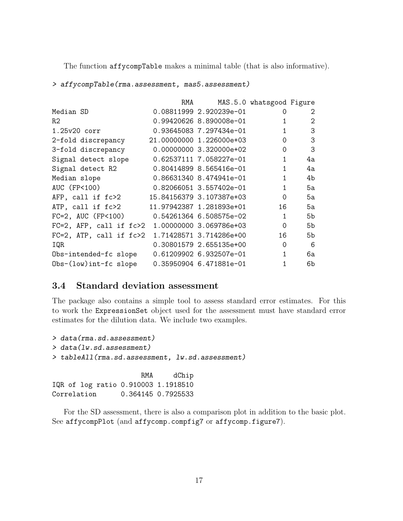The function affycompTable makes a minimal table (that is also informative).

> affycompTable(rma.assessment, mas5.assessment)

|                                                 | RMA |                          | MAS.5.0 whatsgood Figure |    |
|-------------------------------------------------|-----|--------------------------|--------------------------|----|
| Median SD                                       |     | 0.08811999 2.920239e-01  | 0                        | 2  |
| R2                                              |     | 0.99420626 8.890008e-01  | 1                        | 2  |
| 1.25v20 corr                                    |     | 0.93645083 7.297434e-01  | 1                        | 3  |
| 2-fold discrepancy                              |     | 21.00000000 1.226000e+03 | $\Omega$                 | 3  |
| 3-fold discrepancy                              |     | 0.00000000 3.320000e+02  | 0                        | 3  |
| Signal detect slope                             |     |                          | $\mathbf{1}$             | 4a |
| Signal detect R2                                |     | 0.80414899 8.565416e-01  | $\mathbf{1}$             | 4a |
| Median slope                                    |     | 0.86631340 8.474941e-01  | $\mathbf{1}$             | 4b |
| AUC (FP<100)                                    |     | 0.82066051 3.557402e-01  | $\mathbf{1}$             | 5а |
| AFP, call if fc>2                               |     | 15.84156379 3.107387e+03 | $\Omega$                 | 5a |
| ATP, call if fc>2                               |     | 11.97942387 1.281893e+01 | 16                       | 5а |
| $FC=2$ , AUC $(FP<100)$                         |     | 0.54261364 6.508575e-02  | 1                        | 5b |
| FC=2, AFP, call if fc>2 1.00000000 3.069786e+03 |     |                          | $\Omega$                 | 5b |
| FC=2, ATP, call if fc>2 1.71428571 3.714286e+00 |     |                          | 16                       | 5b |
| IQR                                             |     | 0.30801579 2.655135e+00  | $\Omega$                 | 6  |
| Obs-intended-fc slope                           |     | 0.61209902 6.932507e-01  | $\mathbf{1}$             | 6a |
| $Obs-(low)int-fc slope$                         |     | 0.35950904 6.471881e-01  | 1                        | 6b |

### <span id="page-16-0"></span>3.4 Standard deviation assessment

The package also contains a simple tool to assess standard error estimates. For this to work the ExpressionSet object used for the assessment must have standard error estimates for the dilution data. We include two examples.

```
> data(rma.sd.assessment)
> data(lw.sd.assessment)
> tableAll(rma.sd.assessment, lw.sd.assessment)
```
RMA dChip IQR of log ratio 0.910003 1.1918510 Correlation 0.364145 0.7925533

For the SD assessment, there is also a comparison plot in addition to the basic plot. See affycompPlot (and affycomp.compfig7 or affycomp.figure7).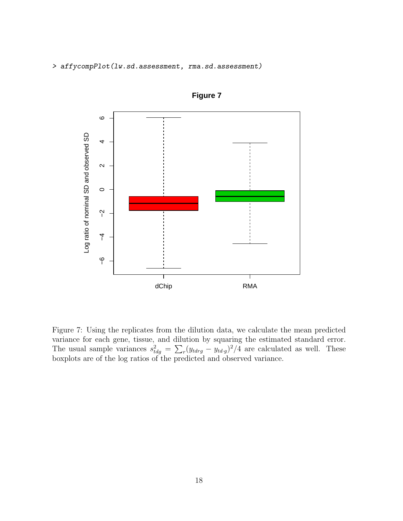> affycompPlot(lw.sd.assessment, rma.sd.assessment)



**Figure 7**

Figure 7: Using the replicates from the dilution data, we calculate the mean predicted variance for each gene, tissue, and dilution by squaring the estimated standard error. The usual sample variances  $s_{tdg}^2 = \sum_r (y_{tdrg} - y_{td\cdot g})^2/4$  are calculated as well. These boxplots are of the log ratios of the predicted and observed variance.